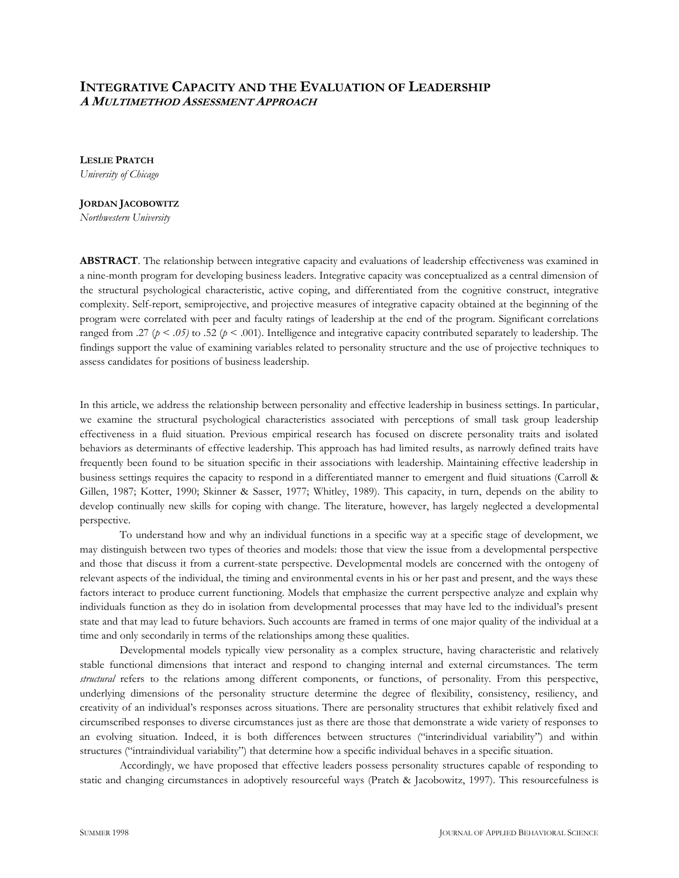# **INTEGRATIVE CAPACITY AND THE EVALUATION OF LEADERSHIP A MULTIMETHOD ASSESSMENT APPROACH**

**LESLIE PRATCH** *University of Chicago*

# **JORDAN JACOBOWITZ**

*Northwestern University*

**ABSTRACT**. The relationship between integrative capacity and evaluations of leadership effectiveness was examined in a nine-month program for developing business leaders. Integrative capacity was conceptualized as a central dimension of the structural psychological characteristic, active coping, and differentiated from the cognitive construct, integrative complexity. Self-report, semiprojective, and projective measures of integrative capacity obtained at the beginning of the program were correlated with peer and faculty ratings of leadership at the end of the program. Significant correlations ranged from .27 ( $p < .05$ ) to .52 ( $p < .001$ ). Intelligence and integrative capacity contributed separately to leadership. The findings support the value of examining variables related to personality structure and the use of projective techniques to assess candidates for positions of business leadership.

In this article, we address the relationship between personality and effective leadership in business settings. In particular, we examine the structural psychological characteristics associated with perceptions of small task group leadership effectiveness in a fluid situation. Previous empirical research has focused on discrete personality traits and isolated behaviors as determinants of effective leadership. This approach has had limited results, as narrowly defined traits have frequently been found to be situation specific in their associations with leadership. Maintaining effective leadership in business settings requires the capacity to respond in a differentiated manner to emergent and fluid situations (Carroll & Gillen, 1987; Kotter, 1990; Skinner & Sasser, 1977; Whitley, 1989). This capacity, in turn, depends on the ability to develop continually new skills for coping with change. The literature, however, has largely neglected a developmental perspective.

To understand how and why an individual functions in a specific way at a specific stage of development, we may distinguish between two types of theories and models: those that view the issue from a developmental perspective and those that discuss it from a current-state perspective. Developmental models are concerned with the ontogeny of relevant aspects of the individual, the timing and environmental events in his or her past and present, and the ways these factors interact to produce current functioning. Models that emphasize the current perspective analyze and explain why individuals function as they do in isolation from developmental processes that may have led to the individual's present state and that may lead to future behaviors. Such accounts are framed in terms of one major quality of the individual at a time and only secondarily in terms of the relationships among these qualities.

Developmental models typically view personality as a complex structure, having characteristic and relatively stable functional dimensions that interact and respond to changing internal and external circumstances. The term *structural* refers to the relations among different components, or functions, of personality. From this perspective, underlying dimensions of the personality structure determine the degree of flexibility, consistency, resiliency, and creativity of an individual's responses across situations. There are personality structures that exhibit relatively fixed and circumscribed responses to diverse circumstances just as there are those that demonstrate a wide variety of responses to an evolving situation. Indeed, it is both differences between structures ("interindividual variability") and within structures ("intraindividual variability") that determine how a specific individual behaves in a specific situation.

Accordingly, we have proposed that effective leaders possess personality structures capable of responding to static and changing circumstances in adoptively resourceful ways (Pratch & Jacobowitz, 1997). This resourcefulness is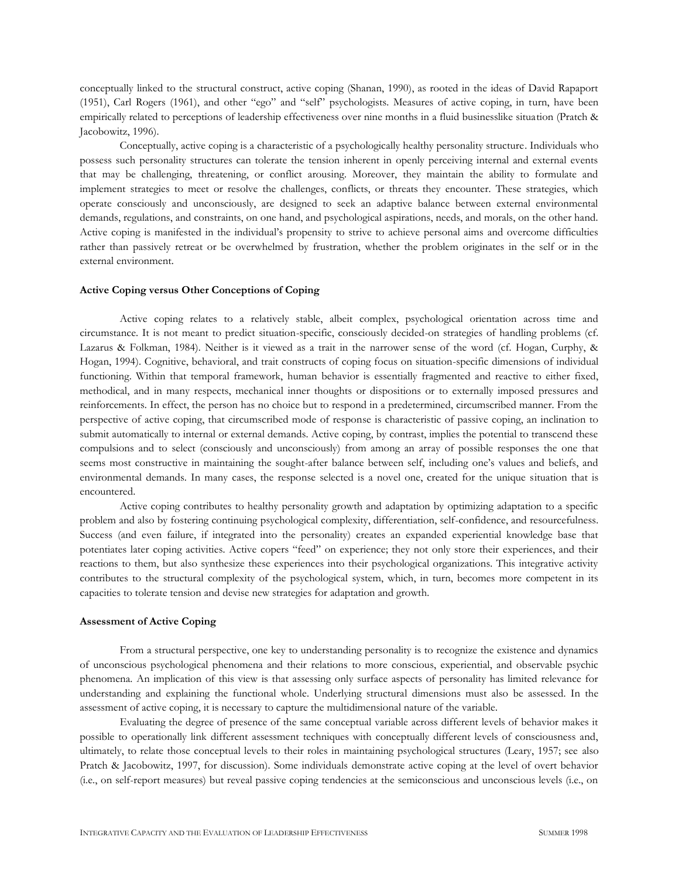conceptually linked to the structural construct, active coping (Shanan, 1990), as rooted in the ideas of David Rapaport (1951), Carl Rogers (1961), and other "ego" and "self" psychologists. Measures of active coping, in turn, have been empirically related to perceptions of leadership effectiveness over nine months in a fluid businesslike situation (Pratch & Jacobowitz, 1996).

Conceptually, active coping is a characteristic of a psychologically healthy personality structure. Individuals who possess such personality structures can tolerate the tension inherent in openly perceiving internal and external events that may be challenging, threatening, or conflict arousing. Moreover, they maintain the ability to formulate and implement strategies to meet or resolve the challenges, conflicts, or threats they encounter. These strategies, which operate consciously and unconsciously, are designed to seek an adaptive balance between external environmental demands, regulations, and constraints, on one hand, and psychological aspirations, needs, and morals, on the other hand. Active coping is manifested in the individual's propensity to strive to achieve personal aims and overcome difficulties rather than passively retreat or be overwhelmed by frustration, whether the problem originates in the self or in the external environment.

### **Active Coping versus Other Conceptions of Coping**

Active coping relates to a relatively stable, albeit complex, psychological orientation across time and circumstance. It is not meant to predict situation-specific, consciously decided-on strategies of handling problems (cf. Lazarus & Folkman, 1984). Neither is it viewed as a trait in the narrower sense of the word (cf. Hogan, Curphy, & Hogan, 1994). Cognitive, behavioral, and trait constructs of coping focus on situation-specific dimensions of individual functioning. Within that temporal framework, human behavior is essentially fragmented and reactive to either fixed, methodical, and in many respects, mechanical inner thoughts or dispositions or to externally imposed pressures and reinforcements. In effect, the person has no choice but to respond in a predetermined, circumscribed manner. From the perspective of active coping, that circumscribed mode of response is characteristic of passive coping, an inclination to submit automatically to internal or external demands. Active coping, by contrast, implies the potential to transcend these compulsions and to select (consciously and unconsciously) from among an array of possible responses the one that seems most constructive in maintaining the sought-after balance between self, including one's values and beliefs, and environmental demands. In many cases, the response selected is a novel one, created for the unique situation that is encountered.

Active coping contributes to healthy personality growth and adaptation by optimizing adaptation to a specific problem and also by fostering continuing psychological complexity, differentiation, self-confidence, and resourcefulness. Success (and even failure, if integrated into the personality) creates an expanded experiential knowledge base that potentiates later coping activities. Active copers "feed" on experience; they not only store their experiences, and their reactions to them, but also synthesize these experiences into their psychological organizations. This integrative activity contributes to the structural complexity of the psychological system, which, in turn, becomes more competent in its capacities to tolerate tension and devise new strategies for adaptation and growth.

# **Assessment of Active Coping**

From a structural perspective, one key to understanding personality is to recognize the existence and dynamics of unconscious psychological phenomena and their relations to more conscious, experiential, and observable psychic phenomena. An implication of this view is that assessing only surface aspects of personality has limited relevance for understanding and explaining the functional whole. Underlying structural dimensions must also be assessed. In the assessment of active coping, it is necessary to capture the multidimensional nature of the variable.

Evaluating the degree of presence of the same conceptual variable across different levels of behavior makes it possible to operationally link different assessment techniques with conceptually different levels of consciousness and, ultimately, to relate those conceptual levels to their roles in maintaining psychological structures (Leary, 1957; see also Pratch & Jacobowitz, 1997, for discussion). Some individuals demonstrate active coping at the level of overt behavior (i.e., on self-report measures) but reveal passive coping tendencies at the semiconscious and unconscious levels (i.e., on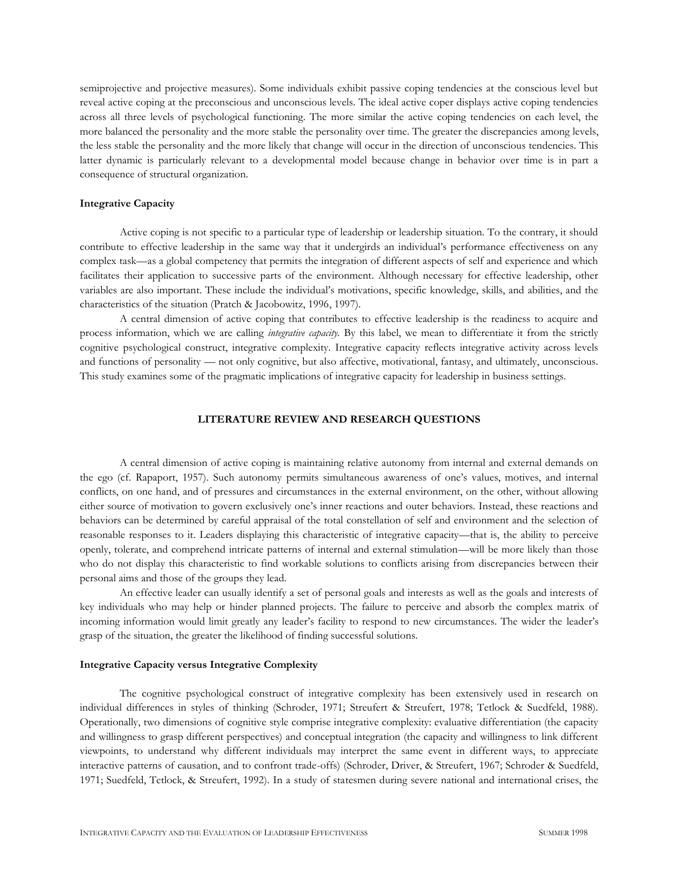semiprojective and projective measures). Some individuals exhibit passive coping tendencies at the conscious level but reveal active coping at the preconscious and unconscious levels. The ideal active coper displays active coping tendencies across all three levels of psychological functioning. The more similar the active coping tendencies on each level, the more balanced the personality and the more stable the personality over time. The greater the discrepancies among levels, the less stable the personality and the more likely that change will occur in the direction of unconscious tendencies. This latter dynamic is particularly relevant to a developmental model because change in behavior over time is in part a consequence of structural organization.

### **Integrative Capacity**

Active coping is not specific to a particular type of leadership or leadership situation. To the contrary, it should contribute to effective leadership in the same way that it undergirds an individual's performance effectiveness on any complex task—as a global competency that permits the integration of different aspects of self and experience and which facilitates their application to successive parts of the environment. Although necessary for effective leadership, other variables are also important. These include the individual's motivations, specific knowledge, skills, and abilities, and the characteristics of the situation (Pratch & Jacobowitz, 1996, 1997).

A central dimension of active coping that contributes to effective leadership is the readiness to acquire and process information, which we are calling *integrative capacity.* By this label, we mean to differentiate it from the strictly cognitive psychological construct, integrative complexity. Integrative capacity reflects integrative activity across levels and functions of personality — not only cognitive, but also affective, motivational, fantasy, and ultimately, unconscious. This study examines some of the pragmatic implications of integrative capacity for leadership in business settings.

# **LITERATURE REVIEW AND RESEARCH QUESTIONS**

A central dimension of active coping is maintaining relative autonomy from internal and external demands on the ego (cf. Rapaport, 1957). Such autonomy permits simultaneous awareness of one's values, motives, and internal conflicts, on one hand, and of pressures and circumstances in the external environment, on the other, without allowing either source of motivation to govern exclusively one's inner reactions and outer behaviors. Instead, these reactions and behaviors can be determined by careful appraisal of the total constellation of self and environment and the selection of reasonable responses to it. Leaders displaying this characteristic of integrative capacity—that is, the ability to perceive openly, tolerate, and comprehend intricate patterns of internal and external stimulation—will be more likely than those who do not display this characteristic to find workable solutions to conflicts arising from discrepancies between their personal aims and those of the groups they lead.

An effective leader can usually identify a set of personal goals and interests as well as the goals and interests of key individuals who may help or hinder planned projects. The failure to perceive and absorb the complex matrix of incoming information would limit greatly any leader's facility to respond to new circumstances. The wider the leader's grasp of the situation, the greater the likelihood of finding successful solutions.

### **Integrative Capacity versus Integrative Complexity**

The cognitive psychological construct of integrative complexity has been extensively used in research on individual differences in styles of thinking (Schroder, 1971; Streufert & Streufert, 1978; Tetlock & Suedfeld, 1988). Operationally, two dimensions of cognitive style comprise integrative complexity: evaluative differentiation (the capacity and willingness to grasp different perspectives) and conceptual integration (the capacity and willingness to link different viewpoints, to understand why different individuals may interpret the same event in different ways, to appreciate interactive patterns of causation, and to confront trade-offs) (Schroder, Driver, & Streufert, 1967; Schroder & Suedfeld, 1971; Suedfeld, Tetlock, & Streufert, 1992). In a study of statesmen during severe national and international crises, the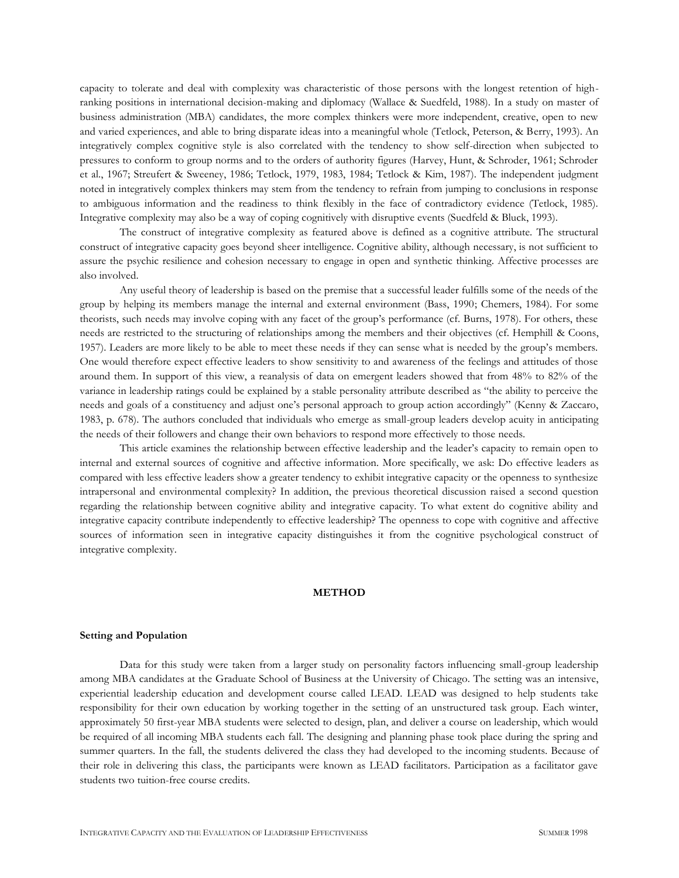capacity to tolerate and deal with complexity was characteristic of those persons with the longest retention of highranking positions in international decision-making and diplomacy (Wallace & Suedfeld, 1988). In a study on master of business administration (MBA) candidates, the more complex thinkers were more independent, creative, open to new and varied experiences, and able to bring disparate ideas into a meaningful whole (Tetlock, Peterson, & Berry, 1993). An integratively complex cognitive style is also correlated with the tendency to show self-direction when subjected to pressures to conform to group norms and to the orders of authority figures (Harvey, Hunt, & Schroder, 1961; Schroder et al., 1967; Streufert & Sweeney, 1986; Tetlock, 1979, 1983, 1984; Tetlock & Kim, 1987). The independent judgment noted in integratively complex thinkers may stem from the tendency to refrain from jumping to conclusions in response to ambiguous information and the readiness to think flexibly in the face of contradictory evidence (Tetlock, 1985). Integrative complexity may also be a way of coping cognitively with disruptive events (Suedfeld & Bluck, 1993).

The construct of integrative complexity as featured above is defined as a cognitive attribute. The structural construct of integrative capacity goes beyond sheer intelligence. Cognitive ability, although necessary, is not sufficient to assure the psychic resilience and cohesion necessary to engage in open and synthetic thinking. Affective processes are also involved.

Any useful theory of leadership is based on the premise that a successful leader fulfills some of the needs of the group by helping its members manage the internal and external environment (Bass, 1990; Chemers, 1984). For some theorists, such needs may involve coping with any facet of the group's performance (cf. Burns, 1978). For others, these needs are restricted to the structuring of relationships among the members and their objectives (cf. Hemphill & Coons, 1957). Leaders are more likely to be able to meet these needs if they can sense what is needed by the group's members. One would therefore expect effective leaders to show sensitivity to and awareness of the feelings and attitudes of those around them. In support of this view, a reanalysis of data on emergent leaders showed that from 48% to 82% of the variance in leadership ratings could be explained by a stable personality attribute described as "the ability to perceive the needs and goals of a constituency and adjust one's personal approach to group action accordingly" (Kenny & Zaccaro, 1983, p. 678). The authors concluded that individuals who emerge as small-group leaders develop acuity in anticipating the needs of their followers and change their own behaviors to respond more effectively to those needs.

This article examines the relationship between effective leadership and the leader's capacity to remain open to internal and external sources of cognitive and affective information. More specifically, we ask: Do effective leaders as compared with less effective leaders show a greater tendency to exhibit integrative capacity or the openness to synthesize intrapersonal and environmental complexity? In addition, the previous theoretical discussion raised a second question regarding the relationship between cognitive ability and integrative capacity. To what extent do cognitive ability and integrative capacity contribute independently to effective leadership? The openness to cope with cognitive and affective sources of information seen in integrative capacity distinguishes it from the cognitive psychological construct of integrative complexity.

# **METHOD**

### **Setting and Population**

Data for this study were taken from a larger study on personality factors influencing small-group leadership among MBA candidates at the Graduate School of Business at the University of Chicago. The setting was an intensive, experiential leadership education and development course called LEAD. LEAD was designed to help students take responsibility for their own education by working together in the setting of an unstructured task group. Each winter, approximately 50 first-year MBA students were selected to design, plan, and deliver a course on leadership, which would be required of all incoming MBA students each fall. The designing and planning phase took place during the spring and summer quarters. In the fall, the students delivered the class they had developed to the incoming students. Because of their role in delivering this class, the participants were known as LEAD facilitators. Participation as a facilitator gave students two tuition-free course credits.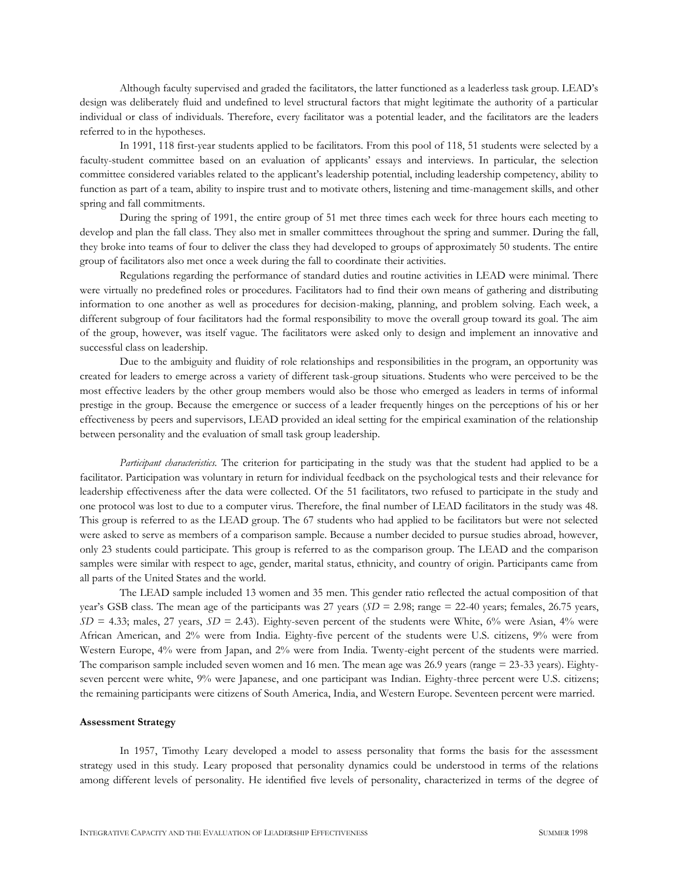Although faculty supervised and graded the facilitators, the latter functioned as a leaderless task group. LEAD's design was deliberately fluid and undefined to level structural factors that might legitimate the authority of a particular individual or class of individuals. Therefore, every facilitator was a potential leader, and the facilitators are the leaders referred to in the hypotheses.

In 1991, 118 first-year students applied to be facilitators. From this pool of 118, 51 students were selected by a faculty-student committee based on an evaluation of applicants' essays and interviews. In particular, the selection committee considered variables related to the applicant's leadership potential, including leadership competency, ability to function as part of a team, ability to inspire trust and to motivate others, listening and time-management skills, and other spring and fall commitments.

During the spring of 1991, the entire group of 51 met three times each week for three hours each meeting to develop and plan the fall class. They also met in smaller committees throughout the spring and summer. During the fall, they broke into teams of four to deliver the class they had developed to groups of approximately 50 students. The entire group of facilitators also met once a week during the fall to coordinate their activities.

Regulations regarding the performance of standard duties and routine activities in LEAD were minimal. There were virtually no predefined roles or procedures. Facilitators had to find their own means of gathering and distributing information to one another as well as procedures for decision-making, planning, and problem solving. Each week, a different subgroup of four facilitators had the formal responsibility to move the overall group toward its goal. The aim of the group, however, was itself vague. The facilitators were asked only to design and implement an innovative and successful class on leadership.

Due to the ambiguity and fluidity of role relationships and responsibilities in the program, an opportunity was created for leaders to emerge across a variety of different task-group situations. Students who were perceived to be the most effective leaders by the other group members would also be those who emerged as leaders in terms of informal prestige in the group. Because the emergence or success of a leader frequently hinges on the perceptions of his or her effectiveness by peers and supervisors, LEAD provided an ideal setting for the empirical examination of the relationship between personality and the evaluation of small task group leadership.

*Participant characteristics.* The criterion for participating in the study was that the student had applied to be a facilitator. Participation was voluntary in return for individual feedback on the psychological tests and their relevance for leadership effectiveness after the data were collected. Of the 51 facilitators, two refused to participate in the study and one protocol was lost to due to a computer virus. Therefore, the final number of LEAD facilitators in the study was 48. This group is referred to as the LEAD group. The 67 students who had applied to be facilitators but were not selected were asked to serve as members of a comparison sample. Because a number decided to pursue studies abroad, however, only 23 students could participate. This group is referred to as the comparison group. The LEAD and the comparison samples were similar with respect to age, gender, marital status, ethnicity, and country of origin. Participants came from all parts of the United States and the world.

The LEAD sample included 13 women and 35 men. This gender ratio reflected the actual composition of that year's GSB class. The mean age of the participants was 27 years (*SD* = 2.98; range = 22-40 years; females, 26.75 years,  $SD = 4.33$ ; males, 27 years,  $SD = 2.43$ ). Eighty-seven percent of the students were White, 6% were Asian, 4% were African American, and 2% were from India. Eighty-five percent of the students were U.S. citizens, 9% were from Western Europe, 4% were from Japan, and 2% were from India. Twenty-eight percent of the students were married. The comparison sample included seven women and 16 men. The mean age was 26.9 years (range = 23-33 years). Eightyseven percent were white, 9% were Japanese, and one participant was Indian. Eighty-three percent were U.S. citizens; the remaining participants were citizens of South America, India, and Western Europe. Seventeen percent were married.

### **Assessment Strategy**

In 1957, Timothy Leary developed a model to assess personality that forms the basis for the assessment strategy used in this study. Leary proposed that personality dynamics could be understood in terms of the relations among different levels of personality. He identified five levels of personality, characterized in terms of the degree of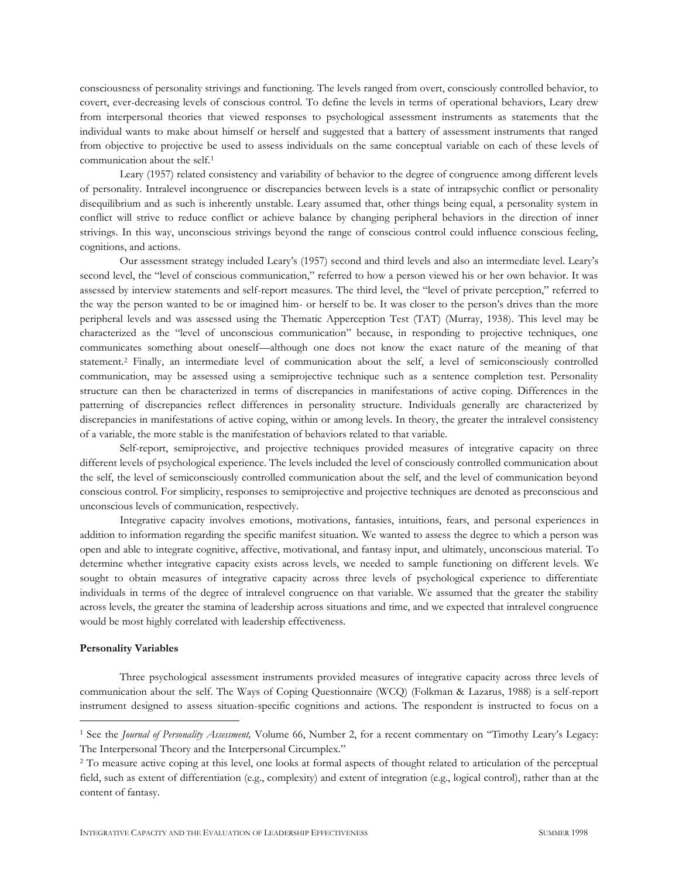consciousness of personality strivings and functioning. The levels ranged from overt, consciously controlled behavior, to covert, ever-decreasing levels of conscious control. To define the levels in terms of operational behaviors, Leary drew from interpersonal theories that viewed responses to psychological assessment instruments as statements that the individual wants to make about himself or herself and suggested that a battery of assessment instruments that ranged from objective to projective be used to assess individuals on the same conceptual variable on each of these levels of communication about the self.<sup>1</sup>

Leary (1957) related consistency and variability of behavior to the degree of congruence among different levels of personality. Intralevel incongruence or discrepancies between levels is a state of intrapsychic conflict or personality disequilibrium and as such is inherently unstable. Leary assumed that, other things being equal, a personality system in conflict will strive to reduce conflict or achieve balance by changing peripheral behaviors in the direction of inner strivings. In this way, unconscious strivings beyond the range of conscious control could influence conscious feeling, cognitions, and actions.

Our assessment strategy included Leary's (1957) second and third levels and also an intermediate level. Leary's second level, the "level of conscious communication," referred to how a person viewed his or her own behavior. It was assessed by interview statements and self-report measures. The third level, the "level of private perception," referred to the way the person wanted to be or imagined him- or herself to be. It was closer to the person's drives than the more peripheral levels and was assessed using the Thematic Apperception Test (TAT) (Murray, 1938). This level may be characterized as the "level of unconscious communication" because, in responding to projective techniques, one communicates something about oneself—although one does not know the exact nature of the meaning of that statement.<sup>2</sup> Finally, an intermediate level of communication about the self, a level of semiconsciously controlled communication, may be assessed using a semiprojective technique such as a sentence completion test. Personality structure can then be characterized in terms of discrepancies in manifestations of active coping. Differences in the patterning of discrepancies reflect differences in personality structure. Individuals generally are characterized by discrepancies in manifestations of active coping, within or among levels. In theory, the greater the intralevel consistency of a variable, the more stable is the manifestation of behaviors related to that variable.

Self-report, semiprojective, and projective techniques provided measures of integrative capacity on three different levels of psychological experience. The levels included the level of consciously controlled communication about the self, the level of semiconsciously controlled communication about the self, and the level of communication beyond conscious control. For simplicity, responses to semiprojective and projective techniques are denoted as preconscious and unconscious levels of communication, respectively.

Integrative capacity involves emotions, motivations, fantasies, intuitions, fears, and personal experiences in addition to information regarding the specific manifest situation. We wanted to assess the degree to which a person was open and able to integrate cognitive, affective, motivational, and fantasy input, and ultimately, unconscious material. To determine whether integrative capacity exists across levels, we needed to sample functioning on different levels. We sought to obtain measures of integrative capacity across three levels of psychological experience to differentiate individuals in terms of the degree of intralevel congruence on that variable. We assumed that the greater the stability across levels, the greater the stamina of leadership across situations and time, and we expected that intralevel congruence would be most highly correlated with leadership effectiveness.

# **Personality Variables**

 $\overline{a}$ 

Three psychological assessment instruments provided measures of integrative capacity across three levels of communication about the self. The Ways of Coping Questionnaire (WCQ) (Folkman & Lazarus, 1988) is a self-report instrument designed to assess situation-specific cognitions and actions. The respondent is instructed to focus on a

<sup>1</sup> See the *Journal of Personality Assessment,* Volume 66, Number 2, for a recent commentary on "Timothy Leary's Legacy: The Interpersonal Theory and the Interpersonal Circumplex."

<sup>&</sup>lt;sup>2</sup> To measure active coping at this level, one looks at formal aspects of thought related to articulation of the perceptual field, such as extent of differentiation (e.g., complexity) and extent of integration (e.g., logical control), rather than at the content of fantasy.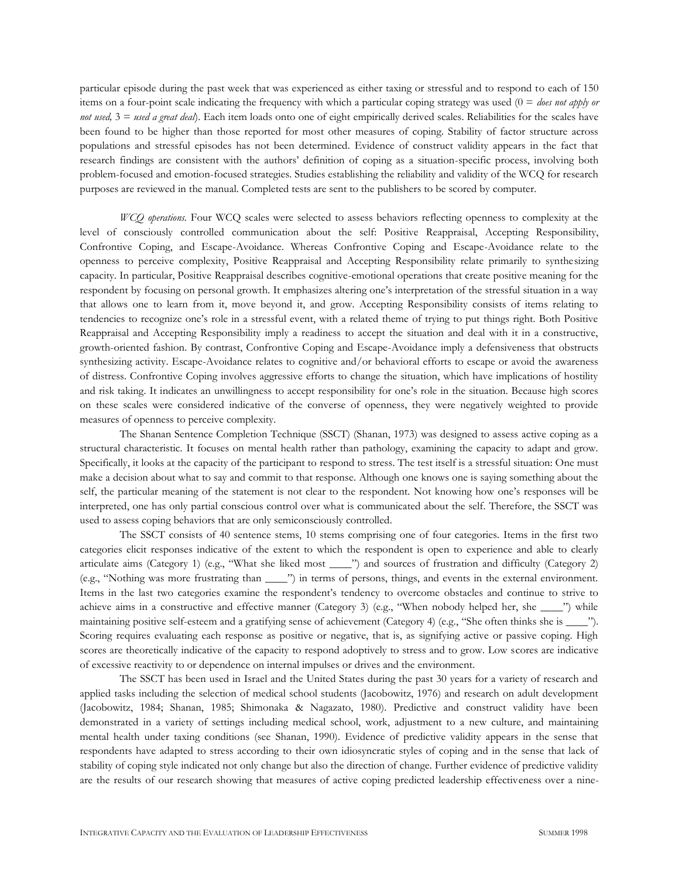particular episode during the past week that was experienced as either taxing or stressful and to respond to each of 150 items on a four-point scale indicating the frequency with which a particular coping strategy was used (0 = *does not apply or not used,*  $3 =$  *used a great deal*). Each item loads onto one of eight empirically derived scales. Reliabilities for the scales have been found to be higher than those reported for most other measures of coping. Stability of factor structure across populations and stressful episodes has not been determined. Evidence of construct validity appears in the fact that research findings are consistent with the authors' definition of coping as a situation-specific process, involving both problem-focused and emotion-focused strategies. Studies establishing the reliability and validity of the WCQ for research purposes are reviewed in the manual. Completed tests are sent to the publishers to be scored by computer.

*WCQ operations.* Four WCQ scales were selected to assess behaviors reflecting openness to complexity at the level of consciously controlled communication about the self: Positive Reappraisal, Accepting Responsibility, Confrontive Coping, and Escape-Avoidance. Whereas Confrontive Coping and Escape-Avoidance relate to the openness to perceive complexity, Positive Reappraisal and Accepting Responsibility relate primarily to synthesizing capacity. In particular, Positive Reappraisal describes cognitive-emotional operations that create positive meaning for the respondent by focusing on personal growth. It emphasizes altering one's interpretation of the stressful situation in a way that allows one to learn from it, move beyond it, and grow. Accepting Responsibility consists of items relating to tendencies to recognize one's role in a stressful event, with a related theme of trying to put things right. Both Positive Reappraisal and Accepting Responsibility imply a readiness to accept the situation and deal with it in a constructive, growth-oriented fashion. By contrast, Confrontive Coping and Escape-Avoidance imply a defensiveness that obstructs synthesizing activity. Escape-Avoidance relates to cognitive and/or behavioral efforts to escape or avoid the awareness of distress. Confrontive Coping involves aggressive efforts to change the situation, which have implications of hostility and risk taking. It indicates an unwillingness to accept responsibility for one's role in the situation. Because high scores on these scales were considered indicative of the converse of openness, they were negatively weighted to provide measures of openness to perceive complexity.

The Shanan Sentence Completion Technique (SSCT) (Shanan, 1973) was designed to assess active coping as a structural characteristic. It focuses on mental health rather than pathology, examining the capacity to adapt and grow. Specifically, it looks at the capacity of the participant to respond to stress. The test itself is a stressful situation: One must make a decision about what to say and commit to that response. Although one knows one is saying something about the self, the particular meaning of the statement is not clear to the respondent. Not knowing how one's responses will be interpreted, one has only partial conscious control over what is communicated about the self. Therefore, the SSCT was used to assess coping behaviors that are only semiconsciously controlled.

The SSCT consists of 40 sentence stems, 10 stems comprising one of four categories. Items in the first two categories elicit responses indicative of the extent to which the respondent is open to experience and able to clearly articulate aims (Category 1) (e.g., "What she liked most \_\_\_\_") and sources of frustration and difficulty (Category 2) (e.g., "Nothing was more frustrating than \_\_\_\_") in terms of persons, things, and events in the external environment. Items in the last two categories examine the respondent's tendency to overcome obstacles and continue to strive to achieve aims in a constructive and effective manner (Category 3) (e.g., "When nobody helped her, she \_\_\_\_") while maintaining positive self-esteem and a gratifying sense of achievement (Category 4) (e.g., "She often thinks she is \_\_\_\_"). Scoring requires evaluating each response as positive or negative, that is, as signifying active or passive coping. High scores are theoretically indicative of the capacity to respond adoptively to stress and to grow. Low scores are indicative of excessive reactivity to or dependence on internal impulses or drives and the environment.

The SSCT has been used in Israel and the United States during the past 30 years for a variety of research and applied tasks including the selection of medical school students (Jacobowitz, 1976) and research on adult development (Jacobowitz, 1984; Shanan, 1985; Shimonaka & Nagazato, 1980). Predictive and construct validity have been demonstrated in a variety of settings including medical school, work, adjustment to a new culture, and maintaining mental health under taxing conditions (see Shanan, 1990). Evidence of predictive validity appears in the sense that respondents have adapted to stress according to their own idiosyncratic styles of coping and in the sense that lack of stability of coping style indicated not only change but also the direction of change. Further evidence of predictive validity are the results of our research showing that measures of active coping predicted leadership effectiveness over a nine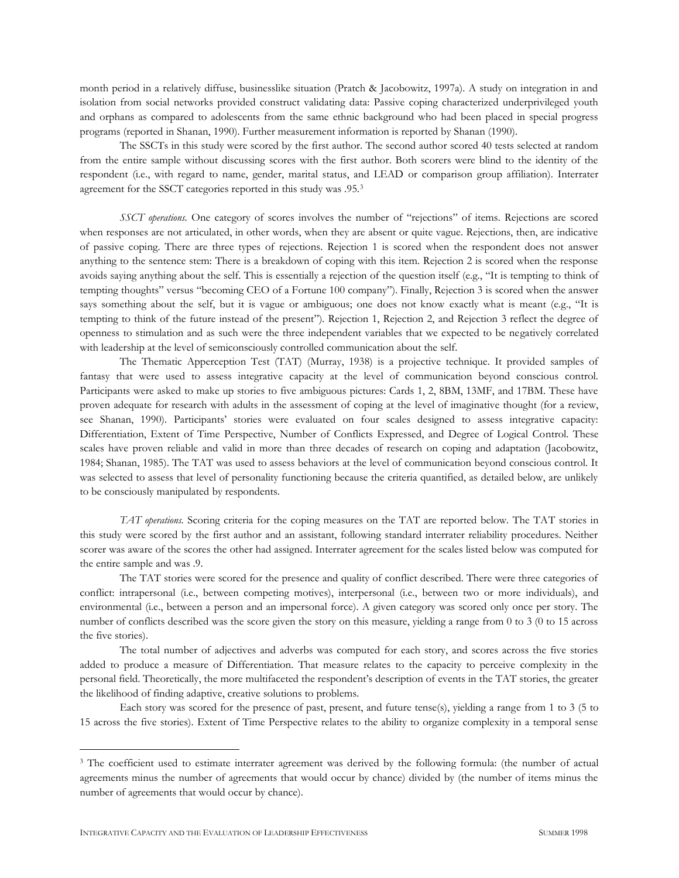month period in a relatively diffuse, businesslike situation (Pratch & Jacobowitz, 1997a). A study on integration in and isolation from social networks provided construct validating data: Passive coping characterized underprivileged youth and orphans as compared to adolescents from the same ethnic background who had been placed in special progress programs (reported in Shanan, 1990). Further measurement information is reported by Shanan (1990).

The SSCTs in this study were scored by the first author. The second author scored 40 tests selected at random from the entire sample without discussing scores with the first author. Both scorers were blind to the identity of the respondent (i.e., with regard to name, gender, marital status, and LEAD or comparison group affiliation). Interrater agreement for the SSCT categories reported in this study was .95.<sup>3</sup>

*SSCT operations.* One category of scores involves the number of "rejections" of items. Rejections are scored when responses are not articulated, in other words, when they are absent or quite vague. Rejections, then, are indicative of passive coping. There are three types of rejections. Rejection 1 is scored when the respondent does not answer anything to the sentence stem: There is a breakdown of coping with this item. Rejection 2 is scored when the response avoids saying anything about the self. This is essentially a rejection of the question itself (e.g., "It is tempting to think of tempting thoughts" versus "becoming CEO of a Fortune 100 company"). Finally, Rejection 3 is scored when the answer says something about the self, but it is vague or ambiguous; one does not know exactly what is meant (e.g., "It is tempting to think of the future instead of the present"). Rejection 1, Rejection 2, and Rejection 3 reflect the degree of openness to stimulation and as such were the three independent variables that we expected to be negatively correlated with leadership at the level of semiconsciously controlled communication about the self.

The Thematic Apperception Test (TAT) (Murray, 1938) is a projective technique. It provided samples of fantasy that were used to assess integrative capacity at the level of communication beyond conscious control. Participants were asked to make up stories to five ambiguous pictures: Cards 1, 2, 8BM, 13MF, and 17BM. These have proven adequate for research with adults in the assessment of coping at the level of imaginative thought (for a review, see Shanan, 1990). Participants' stories were evaluated on four scales designed to assess integrative capacity: Differentiation, Extent of Time Perspective, Number of Conflicts Expressed, and Degree of Logical Control. These scales have proven reliable and valid in more than three decades of research on coping and adaptation (Jacobowitz, 1984; Shanan, 1985). The TAT was used to assess behaviors at the level of communication beyond conscious control. It was selected to assess that level of personality functioning because the criteria quantified, as detailed below, are unlikely to be consciously manipulated by respondents.

*TAT operations.* Scoring criteria for the coping measures on the TAT are reported below. The TAT stories in this study were scored by the first author and an assistant, following standard interrater reliability procedures. Neither scorer was aware of the scores the other had assigned. Interrater agreement for the scales listed below was computed for the entire sample and was .9.

The TAT stories were scored for the presence and quality of conflict described. There were three categories of conflict: intrapersonal (i.e., between competing motives), interpersonal (i.e., between two or more individuals), and environmental (i.e., between a person and an impersonal force). A given category was scored only once per story. The number of conflicts described was the score given the story on this measure, yielding a range from 0 to 3 (0 to 15 across the five stories).

The total number of adjectives and adverbs was computed for each story, and scores across the five stories added to produce a measure of Differentiation. That measure relates to the capacity to perceive complexity in the personal field. Theoretically, the more multifaceted the respondent's description of events in the TAT stories, the greater the likelihood of finding adaptive, creative solutions to problems.

Each story was scored for the presence of past, present, and future tense(s), yielding a range from 1 to 3 (5 to 15 across the five stories). Extent of Time Perspective relates to the ability to organize complexity in a temporal sense

 $\overline{a}$ 

<sup>&</sup>lt;sup>3</sup> The coefficient used to estimate interrater agreement was derived by the following formula: (the number of actual agreements minus the number of agreements that would occur by chance) divided by (the number of items minus the number of agreements that would occur by chance).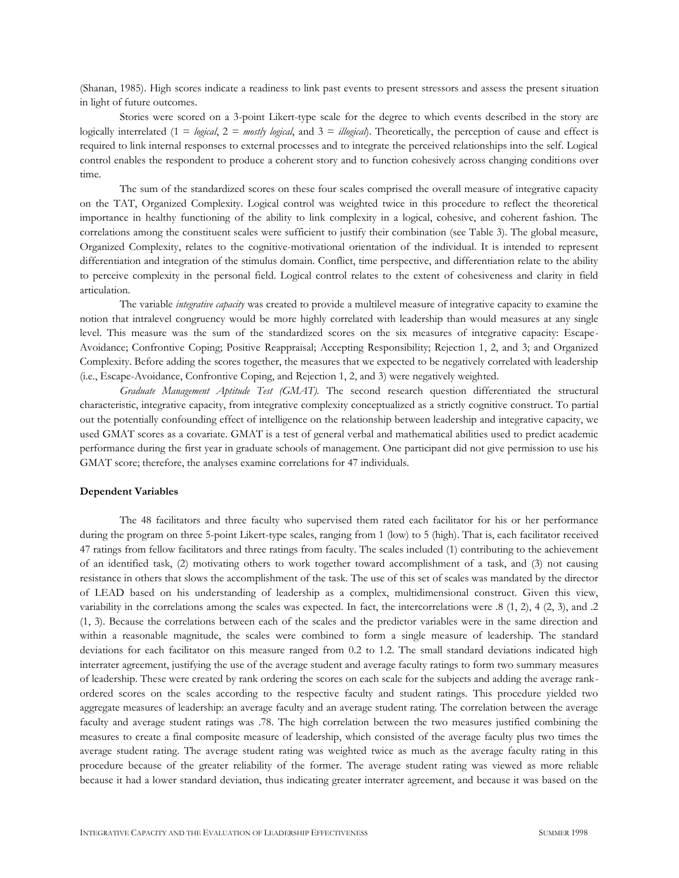(Shanan, 1985). High scores indicate a readiness to link past events to present stressors and assess the present situation in light of future outcomes.

Stories were scored on a 3-point Likert-type scale for the degree to which events described in the story are logically interrelated (1 = *logical*, 2 = *mostly logical*, and 3 = *illogical*). Theoretically, the perception of cause and effect is required to link internal responses to external processes and to integrate the perceived relationships into the self. Logical control enables the respondent to produce a coherent story and to function cohesively across changing conditions over time.

The sum of the standardized scores on these four scales comprised the overall measure of integrative capacity on the TAT, Organized Complexity. Logical control was weighted twice in this procedure to reflect the theoretical importance in healthy functioning of the ability to link complexity in a logical, cohesive, and coherent fashion. The correlations among the constituent scales were sufficient to justify their combination (see Table 3). The global measure, Organized Complexity, relates to the cognitive-motivational orientation of the individual. It is intended to represent differentiation and integration of the stimulus domain. Conflict, time perspective, and differentiation relate to the ability to perceive complexity in the personal field. Logical control relates to the extent of cohesiveness and clarity in field articulation.

The variable *integrative capacity* was created to provide a multilevel measure of integrative capacity to examine the notion that intralevel congruency would be more highly correlated with leadership than would measures at any single level. This measure was the sum of the standardized scores on the six measures of integrative capacity: Escape-Avoidance; Confrontive Coping; Positive Reappraisal; Accepting Responsibility; Rejection 1, 2, and 3; and Organized Complexity. Before adding the scores together, the measures that we expected to be negatively correlated with leadership (i.e., Escape-Avoidance, Confrontive Coping, and Rejection 1, 2, and 3) were negatively weighted.

*Graduate Management Aptitude Test (GMAT).* The second research question differentiated the structural characteristic, integrative capacity, from integrative complexity conceptualized as a strictly cognitive construct. To partial out the potentially confounding effect of intelligence on the relationship between leadership and integrative capacity, we used GMAT scores as a covariate. GMAT is a test of general verbal and mathematical abilities used to predict academic performance during the first year in graduate schools of management. One participant did not give permission to use his GMAT score; therefore, the analyses examine correlations for 47 individuals.

#### **Dependent Variables**

The 48 facilitators and three faculty who supervised them rated each facilitator for his or her performance during the program on three 5-point Likert-type scales, ranging from 1 (low) to 5 (high). That is, each facilitator received 47 ratings from fellow facilitators and three ratings from faculty. The scales included (1) contributing to the achievement of an identified task, (2) motivating others to work together toward accomplishment of a task, and (3) not causing resistance in others that slows the accomplishment of the task. The use of this set of scales was mandated by the director of LEAD based on his understanding of leadership as a complex, multidimensional construct. Given this view, variability in the correlations among the scales was expected. In fact, the intercorrelations were .8 (1, 2), 4 (2, 3), and .2 (1, 3). Because the correlations between each of the scales and the predictor variables were in the same direction and within a reasonable magnitude, the scales were combined to form a single measure of leadership. The standard deviations for each facilitator on this measure ranged from 0.2 to 1.2. The small standard deviations indicated high interrater agreement, justifying the use of the average student and average faculty ratings to form two summary measures of leadership. These were created by rank ordering the scores on each scale for the subjects and adding the average rankordered scores on the scales according to the respective faculty and student ratings. This procedure yielded two aggregate measures of leadership: an average faculty and an average student rating. The correlation between the average faculty and average student ratings was .78. The high correlation between the two measures justified combining the measures to create a final composite measure of leadership, which consisted of the average faculty plus two times the average student rating. The average student rating was weighted twice as much as the average faculty rating in this procedure because of the greater reliability of the former. The average student rating was viewed as more reliable because it had a lower standard deviation, thus indicating greater interrater agreement, and because it was based on the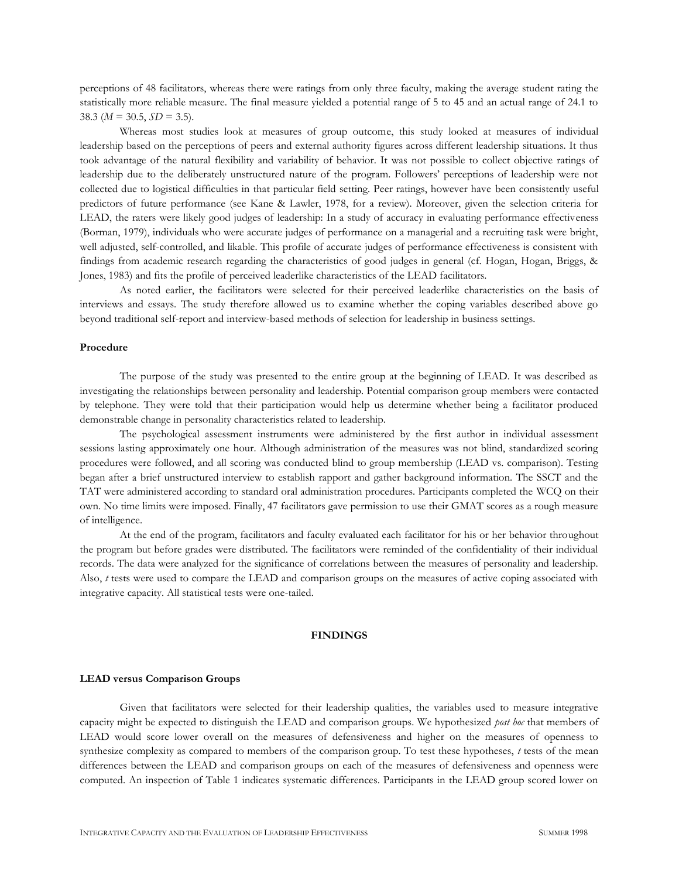perceptions of 48 facilitators, whereas there were ratings from only three faculty, making the average student rating the statistically more reliable measure. The final measure yielded a potential range of 5 to 45 and an actual range of 24.1 to 38.3 ( $M = 30.5$ ,  $SD = 3.5$ ).

Whereas most studies look at measures of group outcome, this study looked at measures of individual leadership based on the perceptions of peers and external authority figures across different leadership situations. It thus took advantage of the natural flexibility and variability of behavior. It was not possible to collect objective ratings of leadership due to the deliberately unstructured nature of the program. Followers' perceptions of leadership were not collected due to logistical difficulties in that particular field setting. Peer ratings, however have been consistently useful predictors of future performance (see Kane & Lawler, 1978, for a review). Moreover, given the selection criteria for LEAD, the raters were likely good judges of leadership: In a study of accuracy in evaluating performance effectiveness (Borman, 1979), individuals who were accurate judges of performance on a managerial and a recruiting task were bright, well adjusted, self-controlled, and likable. This profile of accurate judges of performance effectiveness is consistent with findings from academic research regarding the characteristics of good judges in general (cf. Hogan, Hogan, Briggs, & Jones, 1983) and fits the profile of perceived leaderlike characteristics of the LEAD facilitators.

As noted earlier, the facilitators were selected for their perceived leaderlike characteristics on the basis of interviews and essays. The study therefore allowed us to examine whether the coping variables described above go beyond traditional self-report and interview-based methods of selection for leadership in business settings.

### **Procedure**

The purpose of the study was presented to the entire group at the beginning of LEAD. It was described as investigating the relationships between personality and leadership. Potential comparison group members were contacted by telephone. They were told that their participation would help us determine whether being a facilitator produced demonstrable change in personality characteristics related to leadership.

The psychological assessment instruments were administered by the first author in individual assessment sessions lasting approximately one hour. Although administration of the measures was not blind, standardized scoring procedures were followed, and all scoring was conducted blind to group membership (LEAD vs. comparison). Testing began after a brief unstructured interview to establish rapport and gather background information. The SSCT and the TAT were administered according to standard oral administration procedures. Participants completed the WCQ on their own. No time limits were imposed. Finally, 47 facilitators gave permission to use their GMAT scores as a rough measure of intelligence.

At the end of the program, facilitators and faculty evaluated each facilitator for his or her behavior throughout the program but before grades were distributed. The facilitators were reminded of the confidentiality of their individual records. The data were analyzed for the significance of correlations between the measures of personality and leadership. Also, *t* tests were used to compare the LEAD and comparison groups on the measures of active coping associated with integrative capacity. All statistical tests were one-tailed.

# **FINDINGS**

### **LEAD versus Comparison Groups**

Given that facilitators were selected for their leadership qualities, the variables used to measure integrative capacity might be expected to distinguish the LEAD and comparison groups. We hypothesized *post hoc* that members of LEAD would score lower overall on the measures of defensiveness and higher on the measures of openness to synthesize complexity as compared to members of the comparison group. To test these hypotheses, *t* tests of the mean differences between the LEAD and comparison groups on each of the measures of defensiveness and openness were computed. An inspection of Table 1 indicates systematic differences. Participants in the LEAD group scored lower on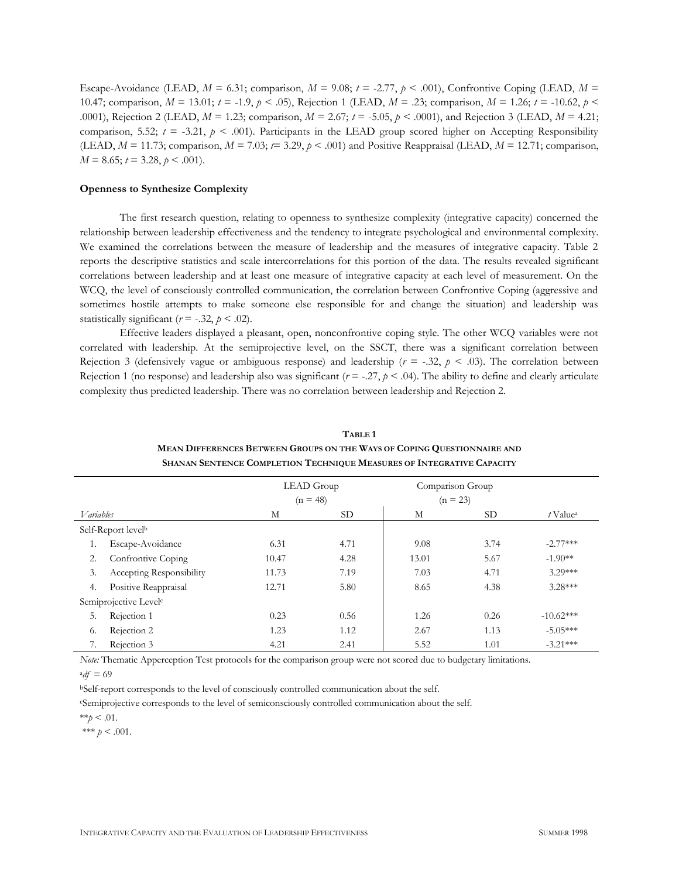Escape-Avoidance (LEAD,  $M = 6.31$ ; comparison,  $M = 9.08$ ;  $t = -2.77$ ,  $p < .001$ ), Confrontive Coping (LEAD,  $M =$ 10.47; comparison, *M* = 13.01; *t* = -1.9, *p* < .05), Rejection 1 (LEAD, *M* = .23; comparison, *M* = 1.26; *t* = -10.62, *p* < .0001), Rejection 2 (LEAD, *M* = 1.23; comparison, *M* = 2.67; *t* = -5.05, *p* < .0001), and Rejection 3 (LEAD, *M* = 4.21; comparison, 5.52;  $t = -3.21$ ,  $p < .001$ ). Participants in the LEAD group scored higher on Accepting Responsibility (LEAD,  $M = 11.73$ ; comparison,  $M = 7.03$ ;  $t = 3.29$ ,  $p < .001$ ) and Positive Reappraisal (LEAD,  $M = 12.71$ ; comparison,  $M = 8.65$ ;  $t = 3.28$ ,  $p < .001$ ).

## **Openness to Synthesize Complexity**

The first research question, relating to openness to synthesize complexity (integrative capacity) concerned the relationship between leadership effectiveness and the tendency to integrate psychological and environmental complexity. We examined the correlations between the measure of leadership and the measures of integrative capacity. Table 2 reports the descriptive statistics and scale intercorrelations for this portion of the data. The results revealed significant correlations between leadership and at least one measure of integrative capacity at each level of measurement. On the WCQ, the level of consciously controlled communication, the correlation between Confrontive Coping (aggressive and sometimes hostile attempts to make someone else responsible for and change the situation) and leadership was statistically significant ( $r = -.32$ ,  $p < .02$ ).

Effective leaders displayed a pleasant, open, nonconfrontive coping style. The other WCQ variables were not correlated with leadership. At the semiprojective level, on the SSCT, there was a significant correlation between Rejection 3 (defensively vague or ambiguous response) and leadership ( $r = -0.32$ ,  $p < 0.03$ ). The correlation between Rejection 1 (no response) and leadership also was significant  $(r = -0.27, p < 0.04)$ . The ability to define and clearly articulate complexity thus predicted leadership. There was no correlation between leadership and Rejection 2.

|                                   |                                 |       | LEAD Group |       | Comparison Group |                        |
|-----------------------------------|---------------------------------|-------|------------|-------|------------------|------------------------|
|                                   |                                 |       | $(n = 48)$ |       | $(n = 23)$       |                        |
| <i>V</i> ariables                 |                                 | М     | <b>SD</b>  | М     | SD <sub>-</sub>  | $t$ Value <sup>a</sup> |
| Self-Report levelb                |                                 |       |            |       |                  |                        |
| 1.                                | Escape-Avoidance                | 6.31  | 4.71       | 9.08  | 3.74             | $-2.77***$             |
| 2.                                | Confrontive Coping              | 10.47 | 4.28       | 13.01 | 5.67             | $-1.90**$              |
| 3.                                | <b>Accepting Responsibility</b> | 11.73 | 7.19       | 7.03  | 4.71             | $3.29***$              |
| 4.                                | Positive Reappraisal            | 12.71 | 5.80       | 8.65  | 4.38             | $3.28***$              |
| Semiprojective Level <sup>c</sup> |                                 |       |            |       |                  |                        |
| 5.                                | Rejection 1                     | 0.23  | 0.56       | 1.26  | 0.26             | $-10.62***$            |
| 6.                                | Rejection 2                     | 1.23  | 1.12       | 2.67  | 1.13             | $-5.05***$             |
| 7.                                | Rejection 3                     | 4.21  | 2.41       | 5.52  | 1.01             | $-3.21***$             |

# **TABLE 1 MEAN DIFFERENCES BETWEEN GROUPS ON THE WAYS OF COPING QUESTIONNAIRE AND SHANAN SENTENCE COMPLETION TECHNIQUE MEASURES OF INTEGRATIVE CAPACITY**

*Note:* Thematic Apperception Test protocols for the comparison group were not scored due to budgetary limitations.  $^{a}df = 69$ 

<sup>b</sup>Self-report corresponds to the level of consciously controlled communication about the self.

<sup>c</sup>Semiprojective corresponds to the level of semiconsciously controlled communication about the self.

 $**_p < .01$ .

\*\*\*  $p < .001$ .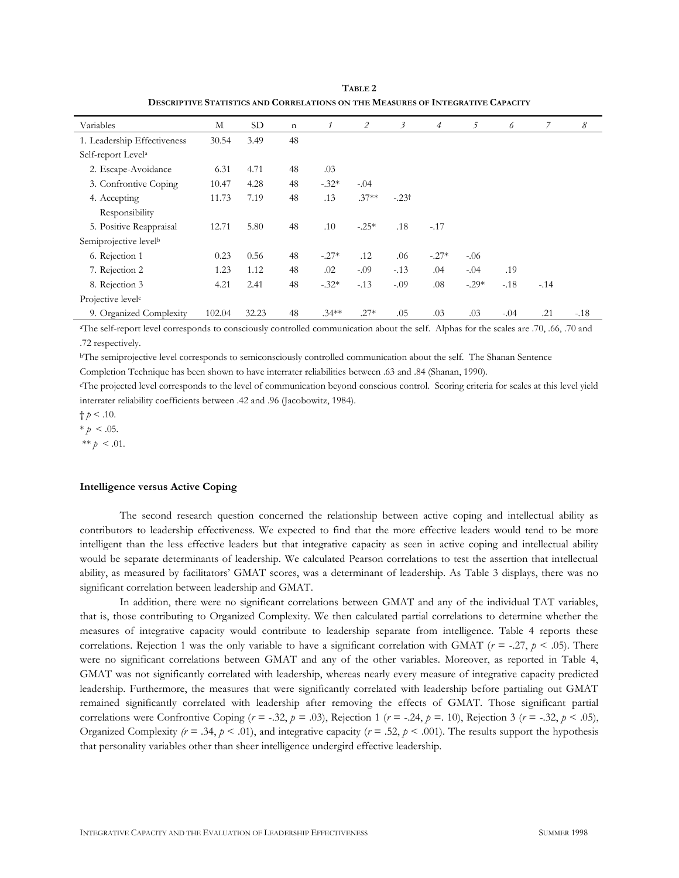| Variables                         | М      | <b>SD</b> | $\mathbf n$ |          | 2       | 3       | $\overline{4}$ | 5       | 6      | 7      | 8      |
|-----------------------------------|--------|-----------|-------------|----------|---------|---------|----------------|---------|--------|--------|--------|
| 1. Leadership Effectiveness       | 30.54  | 3.49      | 48          |          |         |         |                |         |        |        |        |
| Self-report Level <sup>a</sup>    |        |           |             |          |         |         |                |         |        |        |        |
| 2. Escape-Avoidance               | 6.31   | 4.71      | 48          | .03      |         |         |                |         |        |        |        |
| 3. Confrontive Coping             | 10.47  | 4.28      | 48          | $-.32*$  | $-.04$  |         |                |         |        |        |        |
| 4. Accepting                      | 11.73  | 7.19      | 48          | .13      | $.37**$ | $-.23†$ |                |         |        |        |        |
| Responsibility                    |        |           |             |          |         |         |                |         |        |        |        |
| 5. Positive Reappraisal           | 12.71  | 5.80      | 48          | .10      | $-.25*$ | .18     | $-.17$         |         |        |        |        |
| Semiprojective level <sup>b</sup> |        |           |             |          |         |         |                |         |        |        |        |
| 6. Rejection 1                    | 0.23   | 0.56      | 48          | $-.27*$  | .12     | .06     | $-.27*$        | $-.06$  |        |        |        |
| 7. Rejection 2                    | 1.23   | 1.12      | 48          | .02      | $-.09$  | $-.13$  | .04            | $-.04$  | .19    |        |        |
| 8. Rejection 3                    | 4.21   | 2.41      | 48          | $-.32*$  | $-.13$  | $-.09$  | .08            | $-.29*$ | $-.18$ | $-.14$ |        |
| Projective level <sup>c</sup>     |        |           |             |          |         |         |                |         |        |        |        |
| 9. Organized Complexity           | 102.04 | 32.23     | 48          | $.34***$ | $.27*$  | .05     | .03            | .03     | $-.04$ | .21    | $-.18$ |

**TABLE 2 DESCRIPTIVE STATISTICS AND CORRELATIONS ON THE MEASURES OF INTEGRATIVE CAPACITY**

<sup>a</sup>The self-report level corresponds to consciously controlled communication about the self. Alphas for the scales are .70, .66, .70 and .72 respectively.

<sup>b</sup>The semiprojective level corresponds to semiconsciously controlled communication about the self. The Shanan Sentence

Completion Technique has been shown to have interrater reliabilities between .63 and .84 (Shanan, 1990).

<sup>c</sup>The projected level corresponds to the level of communication beyond conscious control. Scoring criteria for scales at this level yield interrater reliability coefficients between .42 and .96 (Jacobowitz, 1984).

 $\dagger p < .10$ .

 $* p < .05.$ 

\*\*  $p \leq .01$ .

### **Intelligence versus Active Coping**

The second research question concerned the relationship between active coping and intellectual ability as contributors to leadership effectiveness. We expected to find that the more effective leaders would tend to be more intelligent than the less effective leaders but that integrative capacity as seen in active coping and intellectual ability would be separate determinants of leadership. We calculated Pearson correlations to test the assertion that intellectual ability, as measured by facilitators' GMAT scores, was a determinant of leadership. As Table 3 displays, there was no significant correlation between leadership and GMAT.

In addition, there were no significant correlations between GMAT and any of the individual TAT variables, that is, those contributing to Organized Complexity. We then calculated partial correlations to determine whether the measures of integrative capacity would contribute to leadership separate from intelligence. Table 4 reports these correlations. Rejection 1 was the only variable to have a significant correlation with GMAT ( $r = -27$ ,  $p < .05$ ). There were no significant correlations between GMAT and any of the other variables. Moreover, as reported in Table 4, GMAT was not significantly correlated with leadership, whereas nearly every measure of integrative capacity predicted leadership. Furthermore, the measures that were significantly correlated with leadership before partialing out GMAT remained significantly correlated with leadership after removing the effects of GMAT. Those significant partial correlations were Confrontive Coping  $(r = -.32, p = .03)$ , Rejection 1  $(r = -.24, p = .10)$ , Rejection 3  $(r = -.32, p < .05)$ , Organized Complexity  $(r = .34, p < .01)$ , and integrative capacity  $(r = .52, p < .001)$ . The results support the hypothesis that personality variables other than sheer intelligence undergird effective leadership.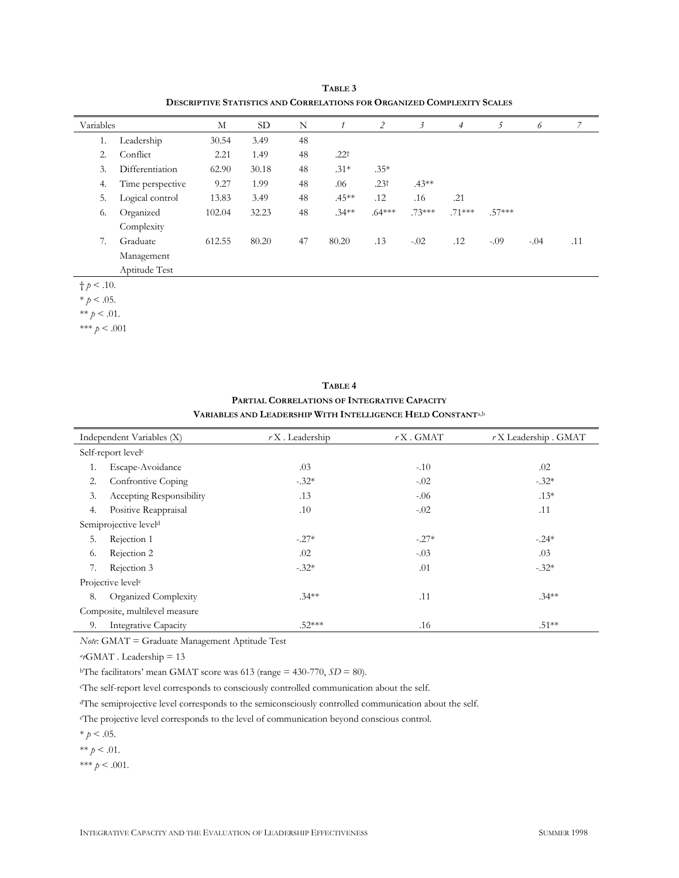| Variables          |                  | М      | SD.   | N  |           | 2                | 3        | $\overline{4}$ | 5        | 6      | 7   |
|--------------------|------------------|--------|-------|----|-----------|------------------|----------|----------------|----------|--------|-----|
| 1.                 | Leadership       | 30.54  | 3.49  | 48 |           |                  |          |                |          |        |     |
| 2.                 | Conflict         | 2.21   | 1.49  | 48 | $.22^{+}$ |                  |          |                |          |        |     |
| 3.                 | Differentiation  | 62.90  | 30.18 | 48 | $.31*$    | $.35*$           |          |                |          |        |     |
| 4.                 | Time perspective | 9.27   | 1.99  | 48 | .06       | .23 <sup>†</sup> | $.43**$  |                |          |        |     |
| 5.                 | Logical control  | 13.83  | 3.49  | 48 | $.45***$  | .12              | .16      | .21            |          |        |     |
| 6.                 | Organized        | 102.04 | 32.23 | 48 | $.34***$  | $.64***$         | $.73***$ | $.71***$       | $.57***$ |        |     |
|                    | Complexity       |        |       |    |           |                  |          |                |          |        |     |
| 7.                 | Graduate         | 612.55 | 80.20 | 47 | 80.20     | .13              | $-.02$   | .12            | $-.09$   | $-.04$ | .11 |
|                    | Management       |        |       |    |           |                  |          |                |          |        |     |
|                    | Aptitude Test    |        |       |    |           |                  |          |                |          |        |     |
| $\dagger p < .10.$ |                  |        |       |    |           |                  |          |                |          |        |     |

**TABLE 3 DESCRIPTIVE STATISTICS AND CORRELATIONS FOR ORGANIZED COMPLEXITY SCALES**

 $* p < .05.$ 

\*\*  $p < .01$ .

\*\*\* *p* < .001

| TABLE <sub>4</sub>                                                      |
|-------------------------------------------------------------------------|
| <b>PARTIAL CORRELATIONS OF INTEGRATIVE CAPACITY</b>                     |
| Variables and Leadership With Intelligence Held Constant <sup>a,b</sup> |

| Independent Variables (X)     |                                   | $rX$ . Leadership | $rX$ . GMAT | $rX$ Leadership . GMAT |  |  |  |
|-------------------------------|-----------------------------------|-------------------|-------------|------------------------|--|--|--|
|                               | Self-report level <sup>c</sup>    |                   |             |                        |  |  |  |
| 1.                            | Escape-Avoidance                  | .03               | $-.10$      | .02                    |  |  |  |
| 2.                            | Confrontive Coping                | $-.32*$           | $-.02$      | $-.32*$                |  |  |  |
| 3.                            | Accepting Responsibility          | .13               | $-0.06$     | $.13*$                 |  |  |  |
| 4.                            | Positive Reappraisal              | .10               | $-.02$      | .11                    |  |  |  |
|                               | Semiprojective level <sup>d</sup> |                   |             |                        |  |  |  |
| 5.                            | Rejection 1                       | $-.27*$           | $-.27*$     | $-.24*$                |  |  |  |
| 6.                            | Rejection 2                       | .02               | $-.03$      | .03                    |  |  |  |
| 7.                            | Rejection 3                       | $-.32*$           | .01         | $-.32*$                |  |  |  |
| Projective level <sup>e</sup> |                                   |                   |             |                        |  |  |  |
| 8.                            | Organized Complexity              | $.34**$           | .11         | $.34***$               |  |  |  |
| Composite, multilevel measure |                                   |                   |             |                        |  |  |  |
| 9.                            | <b>Integrative Capacity</b>       | $.52***$          | .16         | $.51***$               |  |  |  |

*Note*: GMAT = Graduate Management Aptitude Test

*a r*GMAT . Leadership = 13

<sup>b</sup>The facilitators' mean GMAT score was 613 (range = 430-770,  $SD = 80$ ).

<sup>c</sup>The self-report level corresponds to consciously controlled communication about the self.

<sup>d</sup>The semiprojective level corresponds to the semiconsciously controlled communication about the self.

<sup>e</sup>The projective level corresponds to the level of communication beyond conscious control.

 $* p < .05.$ 

 $** p < .01$ .

\*\*\*  $p < .001$ .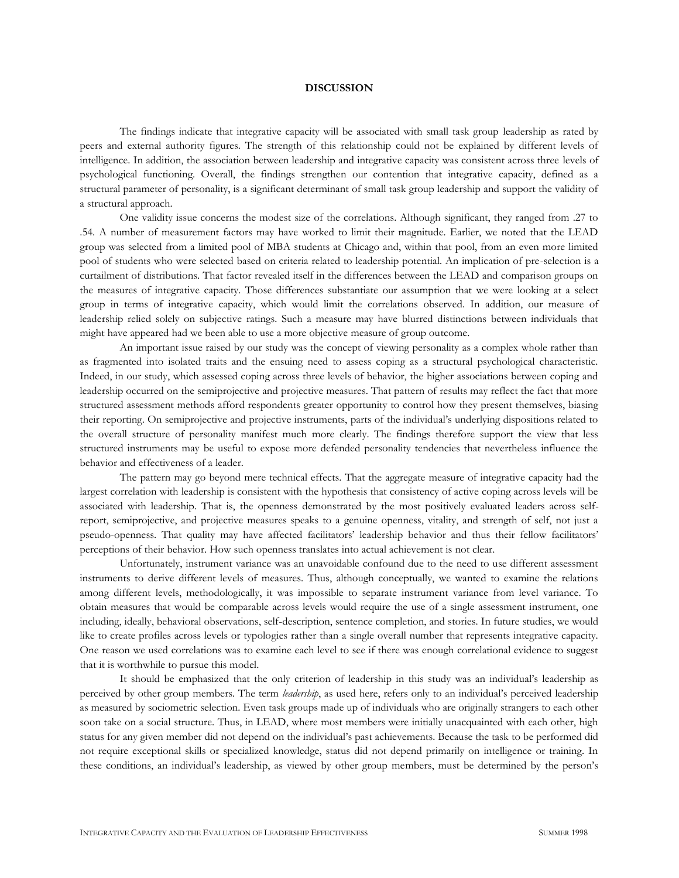### **DISCUSSION**

The findings indicate that integrative capacity will be associated with small task group leadership as rated by peers and external authority figures. The strength of this relationship could not be explained by different levels of intelligence. In addition, the association between leadership and integrative capacity was consistent across three levels of psychological functioning. Overall, the findings strengthen our contention that integrative capacity, defined as a structural parameter of personality, is a significant determinant of small task group leadership and support the validity of a structural approach.

One validity issue concerns the modest size of the correlations. Although significant, they ranged from .27 to .54. A number of measurement factors may have worked to limit their magnitude. Earlier, we noted that the LEAD group was selected from a limited pool of MBA students at Chicago and, within that pool, from an even more limited pool of students who were selected based on criteria related to leadership potential. An implication of pre-selection is a curtailment of distributions. That factor revealed itself in the differences between the LEAD and comparison groups on the measures of integrative capacity. Those differences substantiate our assumption that we were looking at a select group in terms of integrative capacity, which would limit the correlations observed. In addition, our measure of leadership relied solely on subjective ratings. Such a measure may have blurred distinctions between individuals that might have appeared had we been able to use a more objective measure of group outcome.

An important issue raised by our study was the concept of viewing personality as a complex whole rather than as fragmented into isolated traits and the ensuing need to assess coping as a structural psychological characteristic. Indeed, in our study, which assessed coping across three levels of behavior, the higher associations between coping and leadership occurred on the semiprojective and projective measures. That pattern of results may reflect the fact that more structured assessment methods afford respondents greater opportunity to control how they present themselves, biasing their reporting. On semiprojective and projective instruments, parts of the individual's underlying dispositions related to the overall structure of personality manifest much more clearly. The findings therefore support the view that less structured instruments may be useful to expose more defended personality tendencies that nevertheless influence the behavior and effectiveness of a leader.

The pattern may go beyond mere technical effects. That the aggregate measure of integrative capacity had the largest correlation with leadership is consistent with the hypothesis that consistency of active coping across levels will be associated with leadership. That is, the openness demonstrated by the most positively evaluated leaders across selfreport, semiprojective, and projective measures speaks to a genuine openness, vitality, and strength of self, not just a pseudo-openness. That quality may have affected facilitators' leadership behavior and thus their fellow facilitators' perceptions of their behavior. How such openness translates into actual achievement is not clear.

Unfortunately, instrument variance was an unavoidable confound due to the need to use different assessment instruments to derive different levels of measures. Thus, although conceptually, we wanted to examine the relations among different levels, methodologically, it was impossible to separate instrument variance from level variance. To obtain measures that would be comparable across levels would require the use of a single assessment instrument, one including, ideally, behavioral observations, self-description, sentence completion, and stories. In future studies, we would like to create profiles across levels or typologies rather than a single overall number that represents integrative capacity. One reason we used correlations was to examine each level to see if there was enough correlational evidence to suggest that it is worthwhile to pursue this model.

It should be emphasized that the only criterion of leadership in this study was an individual's leadership as perceived by other group members. The term *leadership*, as used here, refers only to an individual's perceived leadership as measured by sociometric selection. Even task groups made up of individuals who are originally strangers to each other soon take on a social structure. Thus, in LEAD, where most members were initially unacquainted with each other, high status for any given member did not depend on the individual's past achievements. Because the task to be performed did not require exceptional skills or specialized knowledge, status did not depend primarily on intelligence or training. In these conditions, an individual's leadership, as viewed by other group members, must be determined by the person's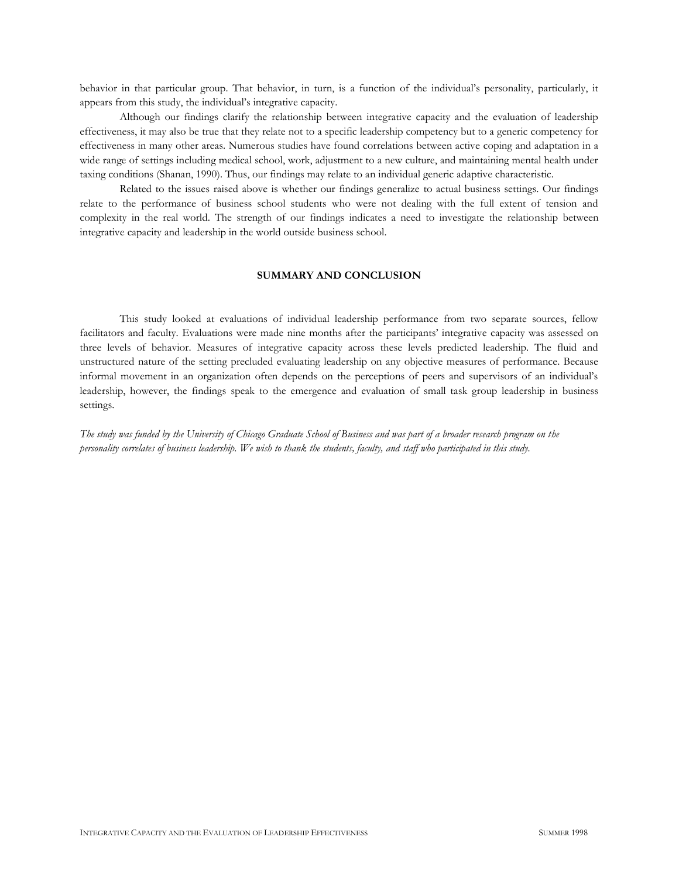behavior in that particular group. That behavior, in turn, is a function of the individual's personality, particularly, it appears from this study, the individual's integrative capacity.

Although our findings clarify the relationship between integrative capacity and the evaluation of leadership effectiveness, it may also be true that they relate not to a specific leadership competency but to a generic competency for effectiveness in many other areas. Numerous studies have found correlations between active coping and adaptation in a wide range of settings including medical school, work, adjustment to a new culture, and maintaining mental health under taxing conditions (Shanan, 1990). Thus, our findings may relate to an individual generic adaptive characteristic.

Related to the issues raised above is whether our findings generalize to actual business settings. Our findings relate to the performance of business school students who were not dealing with the full extent of tension and complexity in the real world. The strength of our findings indicates a need to investigate the relationship between integrative capacity and leadership in the world outside business school.

# **SUMMARY AND CONCLUSION**

This study looked at evaluations of individual leadership performance from two separate sources, fellow facilitators and faculty. Evaluations were made nine months after the participants' integrative capacity was assessed on three levels of behavior. Measures of integrative capacity across these levels predicted leadership. The fluid and unstructured nature of the setting precluded evaluating leadership on any objective measures of performance. Because informal movement in an organization often depends on the perceptions of peers and supervisors of an individual's leadership, however, the findings speak to the emergence and evaluation of small task group leadership in business settings.

*The study was funded by the University of Chicago Graduate School of Business and was part of a broader research program on the personality correlates of business leadership. We wish to thank the students, faculty, and staff who participated in this study.*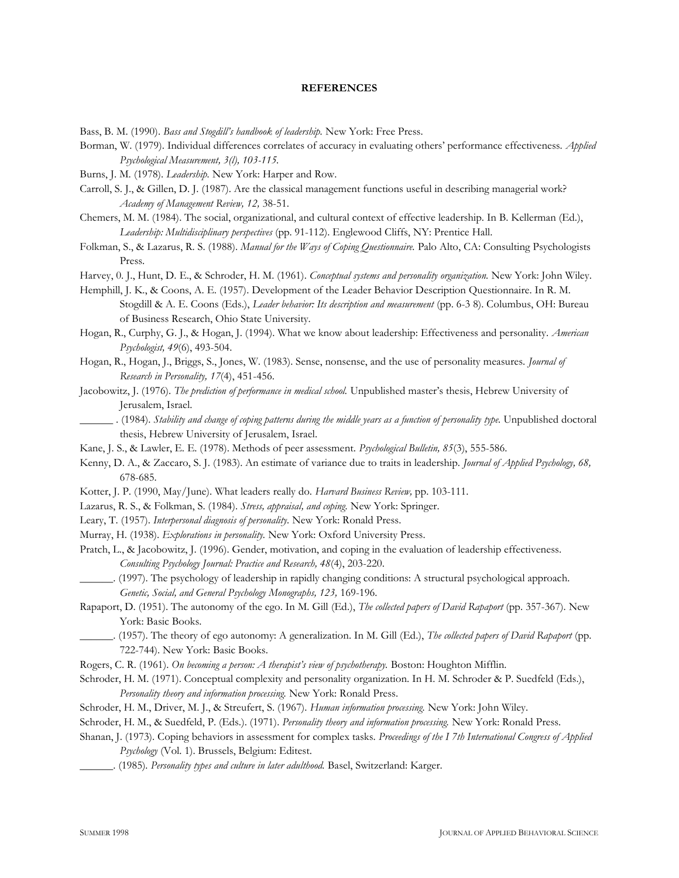### **REFERENCES**

Bass, B. M. (1990). *Bass and Stogdill's handbook of leadership.* New York: Free Press.

- Borman, W. (1979). Individual differences correlates of accuracy in evaluating others' performance effectiveness. *Applied Psychological Measurement, 3(l), 103-115.*
- Burns, J. M. (1978). *Leadership.* New York: Harper and Row.
- Carroll, S. J., & Gillen, D. J. (1987). Are the classical management functions useful in describing managerial work? *Academy of Management Review, 12,* 38-51.
- Chemers, M. M. (1984). The social, organizational, and cultural context of effective leadership. In B. Kellerman (Ed.), *Leadership: Multidisciplinary perspectives* (pp. 91-112). Englewood Cliffs, NY: Prentice Hall.
- Folkman, S., & Lazarus, R. S. (1988). *Manual for the Ways of Coping Questionnaire.* Palo Alto, CA: Consulting Psychologists Press.
- Harvey, 0. J., Hunt, D. E., & Schroder, H. M. (1961). *Conceptual systems and personality organization.* New York: John Wiley.
- Hemphill, J. K., & Coons, A. E. (1957). Development of the Leader Behavior Description Questionnaire. In R. M. Stogdill & A. E. Coons (Eds.), *Leader behavior: Its description and measurement* (pp. 6-3 8). Columbus, OH: Bureau of Business Research, Ohio State University.
- Hogan, R., Curphy, G. J., & Hogan, J. (1994). What we know about leadership: Effectiveness and personality. *American Psychologist, 49*(6), 493-504.
- Hogan, R., Hogan, J., Briggs, S., Jones, W. (1983). Sense, nonsense, and the use of personality measures. *Journal of Research in Personality, 17*(4), 451-456.
- Jacobowitz, J. (1976). *The prediction of performance in medical school.* Unpublished master's thesis, Hebrew University of Jerusalem, Israel.
- \_\_\_\_\_\_ . (1984). *Stability and change of coping patterns during the middle years as a function of personality type.* Unpublished doctoral thesis, Hebrew University of Jerusalem, Israel.
- Kane, J. S., & Lawler, E. E. (1978). Methods of peer assessment. *Psychological Bulletin, 85*(3), 555-586.
- Kenny, D. A., & Zaccaro, S. J. (1983). An estimate of variance due to traits in leadership. *Journal of Applied Psychology, 68,*  678-685.
- Kotter, J. P. (1990, May/June). What leaders really do. *Harvard Business Review,* pp. 103-111.
- Lazarus, R. S., & Folkman, S. (1984). *Stress, appraisal, and coping.* New York: Springer.
- Leary, T. (1957). *Interpersonal diagnosis of personality.* New York: Ronald Press.
- Murray, H. (1938). *Explorations in personality.* New York: Oxford University Press.
- Pratch, L., & Jacobowitz, J. (1996). Gender, motivation, and coping in the evaluation of leadership effectiveness. *Consulting Psychology Journal: Practice and Research, 48*(4), 203-220.
- \_\_\_\_\_\_. (1997). The psychology of leadership in rapidly changing conditions: A structural psychological approach. *Genetic, Social, and General Psychology Monographs, 123,* 169-196.

Rapaport, D. (1951). The autonomy of the ego. In M. Gill (Ed.), *The collected papers of David Rapaport* (pp. 357-367). New York: Basic Books.

- \_\_\_\_\_\_. (1957). The theory of ego autonomy: A generalization. In M. Gill (Ed.), *The collected papers of David Rapaport* (pp. 722-744). New York: Basic Books.
- Rogers, C. R. (1961). *On becoming a person: A therapist's view of psychotherapy.* Boston: Houghton Mifflin.

Schroder, H. M. (1971). Conceptual complexity and personality organization. In H. M. Schroder & P. Suedfeld (Eds.), *Personality theory and information processing.* New York: Ronald Press.

- Schroder, H. M., Driver, M. J., & Streufert, S. (1967). *Human information processing.* New York: John Wiley.
- Schroder, H. M., & Suedfeld, P. (Eds.). (1971)*. Personality theory and information processing.* New York: Ronald Press.
- Shanan, J. (1973). Coping behaviors in assessment for complex tasks. *Proceedings of the I 7th International Congress of Applied Psychology* (Vol. 1). Brussels, Belgium: Editest.
	- \_\_\_\_\_\_. (1985)*. Personality types and culture in later adulthood.* Basel, Switzerland: Karger.